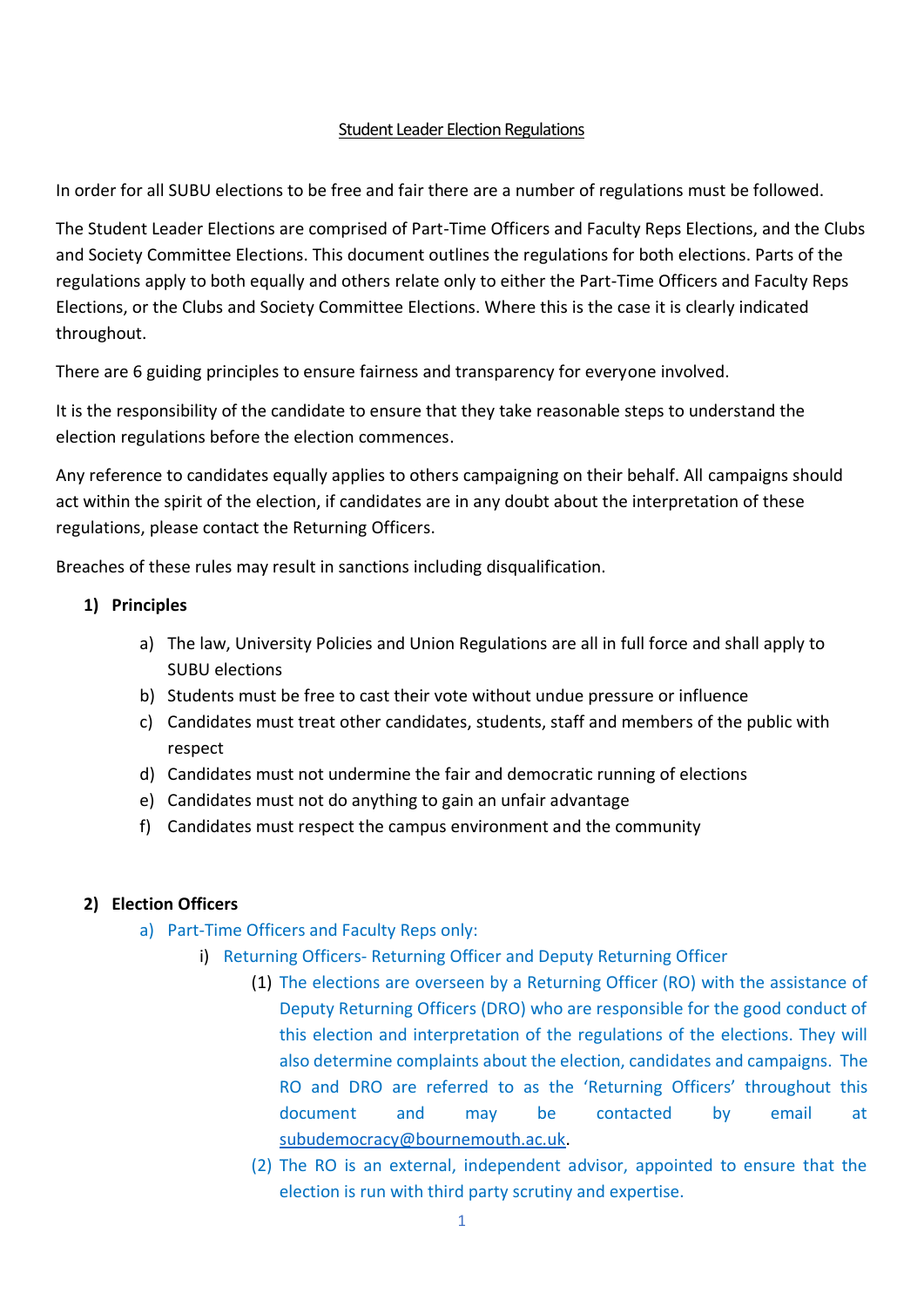## Student Leader Election Regulations

In order for all SUBU elections to be free and fair there are a number of regulations must be followed.

The Student Leader Elections are comprised of Part-Time Officers and Faculty Reps Elections, and the Clubs and Society Committee Elections. This document outlines the regulations for both elections. Parts of the regulations apply to both equally and others relate only to either the Part-Time Officers and Faculty Reps Elections, or the Clubs and Society Committee Elections. Where this is the case it is clearly indicated throughout.

There are 6 guiding principles to ensure fairness and transparency for everyone involved.

It is the responsibility of the candidate to ensure that they take reasonable steps to understand the election regulations before the election commences.

Any reference to candidates equally applies to others campaigning on their behalf. All campaigns should act within the spirit of the election, if candidates are in any doubt about the interpretation of these regulations, please contact the Returning Officers.

Breaches of these rules may result in sanctions including disqualification.

## **1) Principles**

- a) The law, University Policies and Union Regulations are all in full force and shall apply to SUBU elections
- b) Students must be free to cast their vote without undue pressure or influence
- c) Candidates must treat other candidates, students, staff and members of the public with respect
- d) Candidates must not undermine the fair and democratic running of elections
- e) Candidates must not do anything to gain an unfair advantage
- f) Candidates must respect the campus environment and the community

# **2) Election Officers**

- a) Part-Time Officers and Faculty Reps only:
	- i) Returning Officers- Returning Officer and Deputy Returning Officer
		- (1) The elections are overseen by a Returning Officer (RO) with the assistance of Deputy Returning Officers (DRO) who are responsible for the good conduct of this election and interpretation of the regulations of the elections. They will also determine complaints about the election, candidates and campaigns. The RO and DRO are referred to as the 'Returning Officers' throughout this document and may be contacted by email at [subudemocracy@bournemouth.ac.uk.](mailto:subudemocracy@bournemouth.ac.uk)
		- (2) The RO is an external, independent advisor, appointed to ensure that the election is run with third party scrutiny and expertise.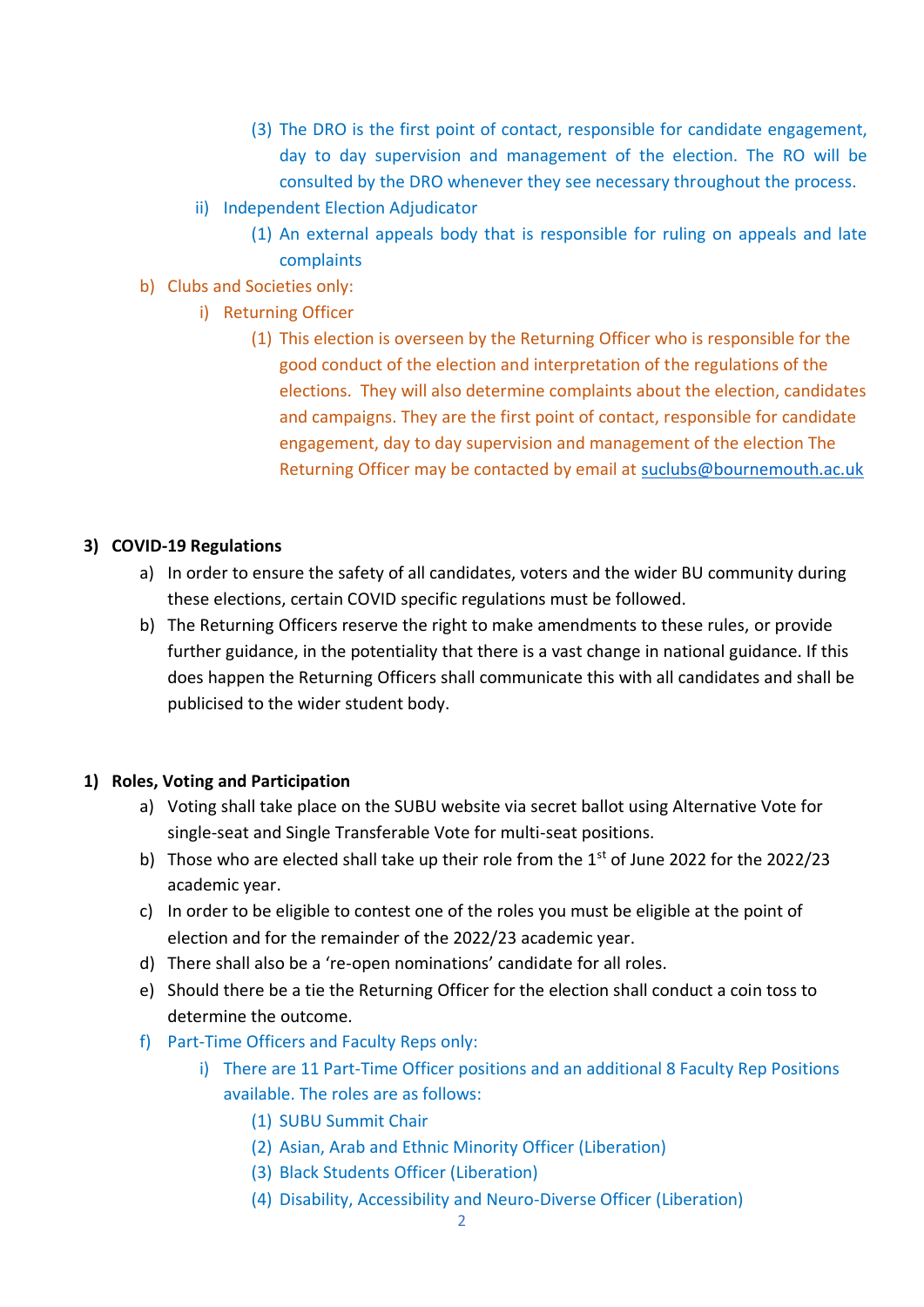- (3) The DRO is the first point of contact, responsible for candidate engagement, day to day supervision and management of the election. The RO will be consulted by the DRO whenever they see necessary throughout the process.
- ii) Independent Election Adjudicator
	- (1) An external appeals body that is responsible for ruling on appeals and late complaints
- b) Clubs and Societies only:
	- i) Returning Officer
		- (1) This election is overseen by the Returning Officer who is responsible for the good conduct of the election and interpretation of the regulations of the elections. They will also determine complaints about the election, candidates and campaigns. They are the first point of contact, responsible for candidate engagement, day to day supervision and management of the election The Returning Officer may be contacted by email at [suclubs@bournemouth.ac.uk](mailto:suclubs@bournemouth.ac.uk)

### **3) COVID-19 Regulations**

- a) In order to ensure the safety of all candidates, voters and the wider BU community during these elections, certain COVID specific regulations must be followed.
- b) The Returning Officers reserve the right to make amendments to these rules, or provide further guidance, in the potentiality that there is a vast change in national guidance. If this does happen the Returning Officers shall communicate this with all candidates and shall be publicised to the wider student body.

#### **1) Roles, Voting and Participation**

- a) Voting shall take place on the SUBU website via secret ballot using Alternative Vote for single-seat and Single Transferable Vote for multi-seat positions.
- b) Those who are elected shall take up their role from the  $1<sup>st</sup>$  of June 2022 for the 2022/23 academic year.
- c) In order to be eligible to contest one of the roles you must be eligible at the point of election and for the remainder of the 2022/23 academic year.
- d) There shall also be a 're-open nominations' candidate for all roles.
- e) Should there be a tie the Returning Officer for the election shall conduct a coin toss to determine the outcome.
- f) Part-Time Officers and Faculty Reps only:
	- i) There are 11 Part-Time Officer positions and an additional 8 Faculty Rep Positions available. The roles are as follows:
		- (1) SUBU Summit Chair
		- (2) Asian, Arab and Ethnic Minority Officer (Liberation)
		- (3) Black Students Officer (Liberation)
		- (4) Disability, Accessibility and Neuro-Diverse Officer (Liberation)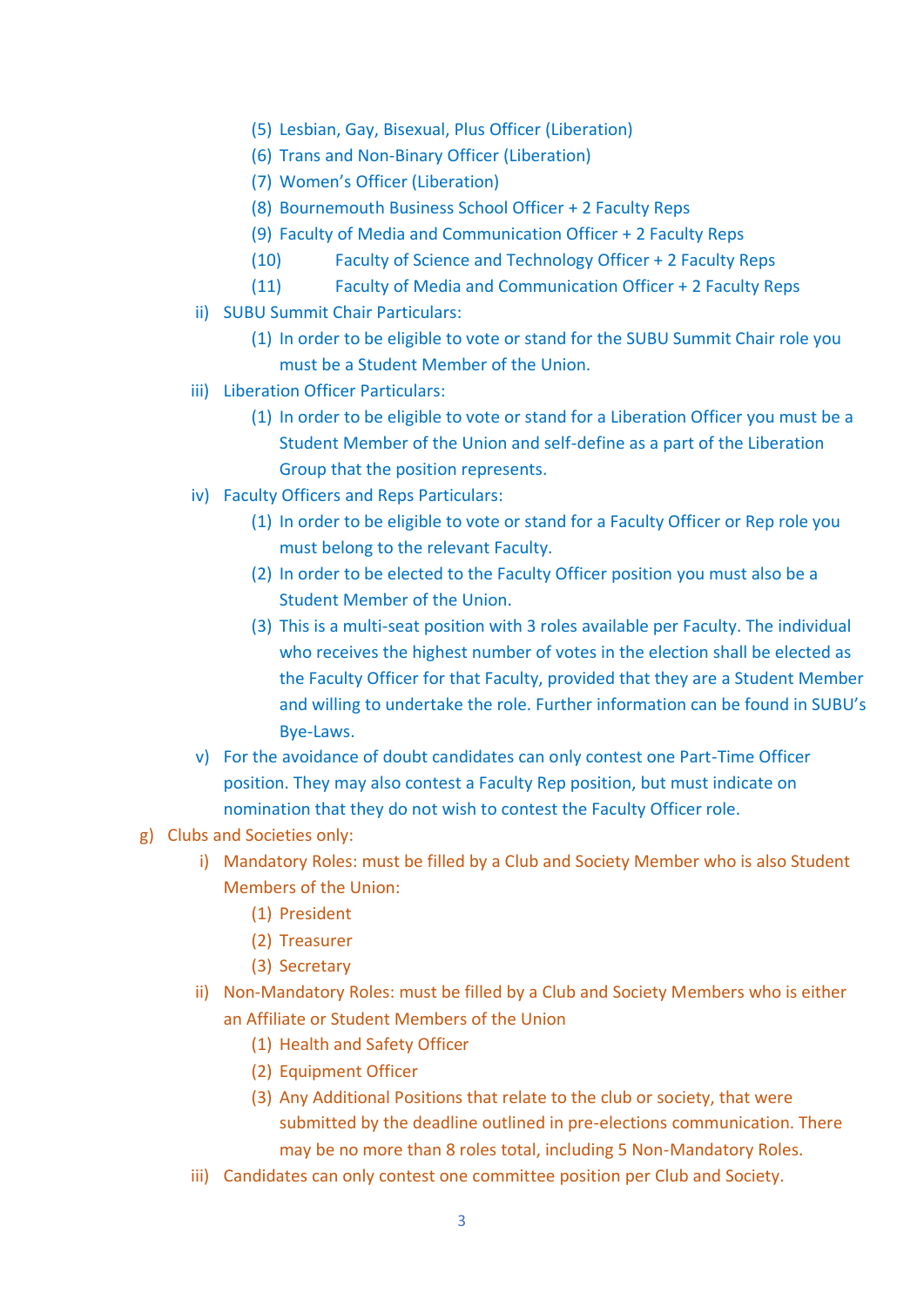- (5) Lesbian, Gay, Bisexual, Plus Officer (Liberation)
- (6) Trans and Non-Binary Officer (Liberation)
- (7) Women's Officer (Liberation)
- (8) Bournemouth Business School Officer + 2 Faculty Reps
- (9) Faculty of Media and Communication Officer + 2 Faculty Reps
- (10) Faculty of Science and Technology Officer + 2 Faculty Reps
- (11) Faculty of Media and Communication Officer + 2 Faculty Reps
- ii) SUBU Summit Chair Particulars:
	- (1) In order to be eligible to vote or stand for the SUBU Summit Chair role you must be a Student Member of the Union.
- iii) Liberation Officer Particulars:
	- (1) In order to be eligible to vote or stand for a Liberation Officer you must be a Student Member of the Union and self-define as a part of the Liberation Group that the position represents.
- iv) Faculty Officers and Reps Particulars:
	- (1) In order to be eligible to vote or stand for a Faculty Officer or Rep role you must belong to the relevant Faculty.
	- (2) In order to be elected to the Faculty Officer position you must also be a Student Member of the Union.
	- (3) This is a multi-seat position with 3 roles available per Faculty. The individual who receives the highest number of votes in the election shall be elected as the Faculty Officer for that Faculty, provided that they are a Student Member and willing to undertake the role. Further information can be found in SUBU's Bye-Laws.
- v) For the avoidance of doubt candidates can only contest one Part-Time Officer position. They may also contest a Faculty Rep position, but must indicate on nomination that they do not wish to contest the Faculty Officer role.
- g) Clubs and Societies only:
	- i) Mandatory Roles: must be filled by a Club and Society Member who is also Student Members of the Union:
		- (1) President
		- (2) Treasurer
		- (3) Secretary
	- ii) Non-Mandatory Roles: must be filled by a Club and Society Members who is either an Affiliate or Student Members of the Union
		- (1) Health and Safety Officer
		- (2) Equipment Officer
		- (3) Any Additional Positions that relate to the club or society, that were submitted by the deadline outlined in pre-elections communication. There may be no more than 8 roles total, including 5 Non-Mandatory Roles.
	- iii) Candidates can only contest one committee position per Club and Society.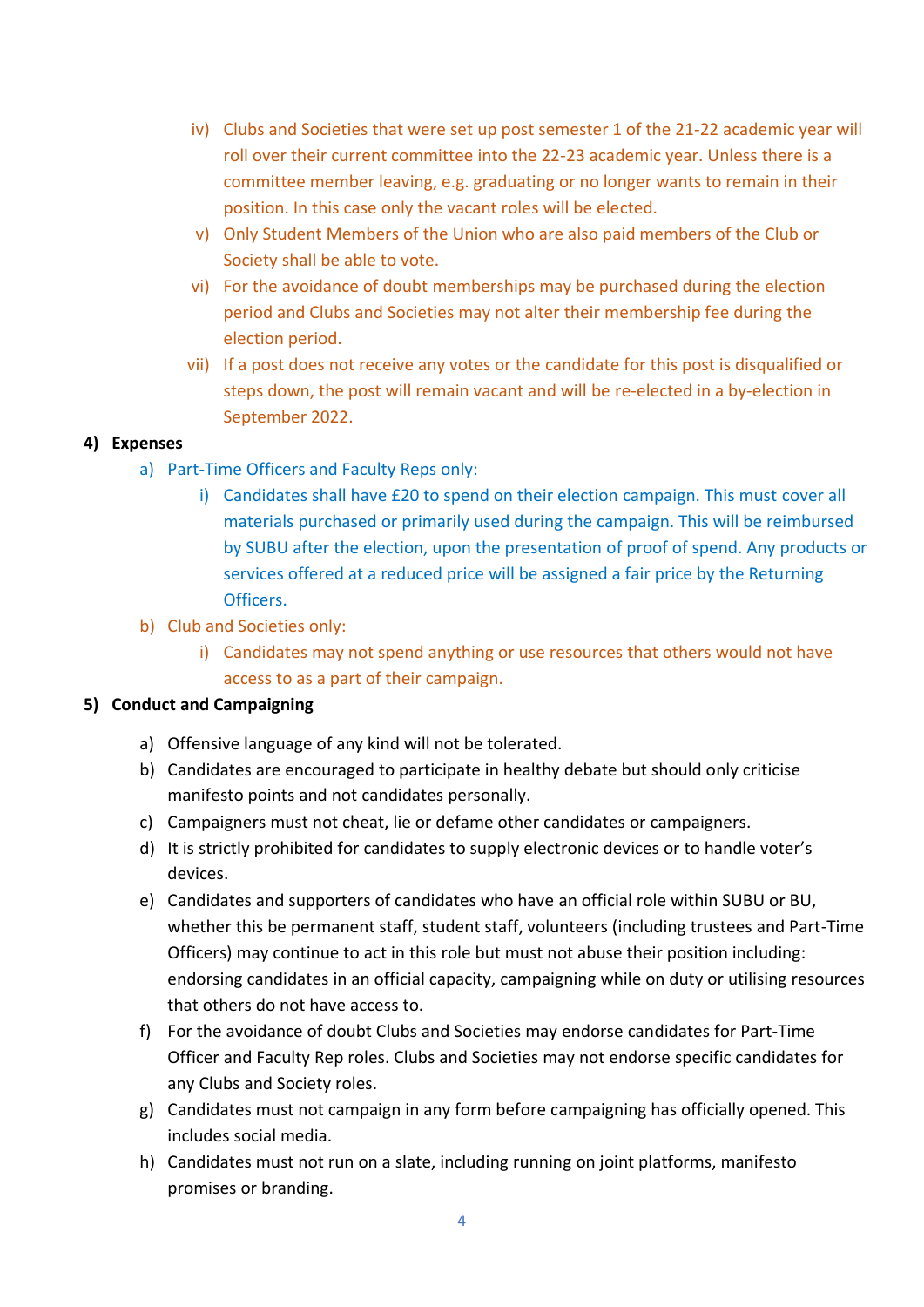- iv) Clubs and Societies that were set up post semester 1 of the 21-22 academic year will roll over their current committee into the 22-23 academic year. Unless there is a committee member leaving, e.g. graduating or no longer wants to remain in their position. In this case only the vacant roles will be elected.
- v) Only Student Members of the Union who are also paid members of the Club or Society shall be able to vote.
- vi) For the avoidance of doubt memberships may be purchased during the election period and Clubs and Societies may not alter their membership fee during the election period.
- vii) If a post does not receive any votes or the candidate for this post is disqualified or steps down, the post will remain vacant and will be re-elected in a by-election in September 2022.

# **4) Expenses**

- a) Part-Time Officers and Faculty Reps only:
	- i) Candidates shall have £20 to spend on their election campaign. This must cover all materials purchased or primarily used during the campaign. This will be reimbursed by SUBU after the election, upon the presentation of proof of spend. Any products or services offered at a reduced price will be assigned a fair price by the Returning Officers.
- b) Club and Societies only:
	- i) Candidates may not spend anything or use resources that others would not have access to as a part of their campaign.

## **5) Conduct and Campaigning**

- a) Offensive language of any kind will not be tolerated.
- b) Candidates are encouraged to participate in healthy debate but should only criticise manifesto points and not candidates personally.
- c) Campaigners must not cheat, lie or defame other candidates or campaigners.
- d) It is strictly prohibited for candidates to supply electronic devices or to handle voter's devices.
- e) Candidates and supporters of candidates who have an official role within SUBU or BU, whether this be permanent staff, student staff, volunteers (including trustees and Part-Time Officers) may continue to act in this role but must not abuse their position including: endorsing candidates in an official capacity, campaigning while on duty or utilising resources that others do not have access to.
- f) For the avoidance of doubt Clubs and Societies may endorse candidates for Part-Time Officer and Faculty Rep roles. Clubs and Societies may not endorse specific candidates for any Clubs and Society roles.
- g) Candidates must not campaign in any form before campaigning has officially opened. This includes social media.
- h) Candidates must not run on a slate, including running on joint platforms, manifesto promises or branding.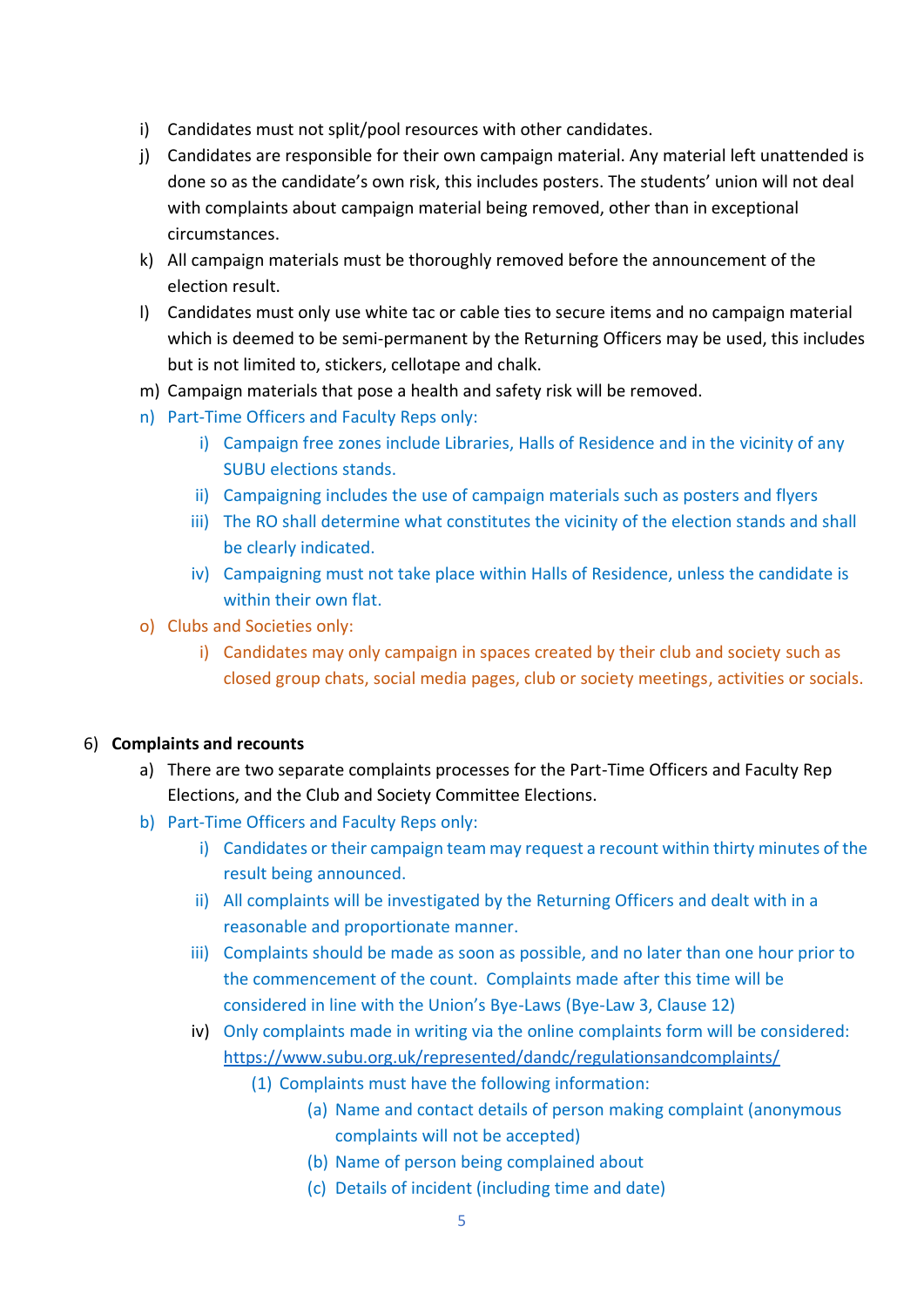- i) Candidates must not split/pool resources with other candidates.
- j) Candidates are responsible for their own campaign material. Any material left unattended is done so as the candidate's own risk, this includes posters. The students' union will not deal with complaints about campaign material being removed, other than in exceptional circumstances.
- k) All campaign materials must be thoroughly removed before the announcement of the election result.
- l) Candidates must only use white tac or cable ties to secure items and no campaign material which is deemed to be semi-permanent by the Returning Officers may be used, this includes but is not limited to, stickers, cellotape and chalk.
- m) Campaign materials that pose a health and safety risk will be removed.
- n) Part-Time Officers and Faculty Reps only:
	- i) Campaign free zones include Libraries, Halls of Residence and in the vicinity of any SUBU elections stands.
	- ii) Campaigning includes the use of campaign materials such as posters and flyers
	- iii) The RO shall determine what constitutes the vicinity of the election stands and shall be clearly indicated.
	- iv) Campaigning must not take place within Halls of Residence, unless the candidate is within their own flat.
- o) Clubs and Societies only:
	- i) Candidates may only campaign in spaces created by their club and society such as closed group chats, social media pages, club or society meetings, activities or socials.

### 6) **Complaints and recounts**

- a) There are two separate complaints processes for the Part-Time Officers and Faculty Rep Elections, and the Club and Society Committee Elections.
- b) Part-Time Officers and Faculty Reps only:
	- i) Candidates or their campaign team may request a recount within thirty minutes of the result being announced.
	- ii) All complaints will be investigated by the Returning Officers and dealt with in a reasonable and proportionate manner.
	- iii) Complaints should be made as soon as possible, and no later than one hour prior to the commencement of the count. Complaints made after this time will be considered in line with the Union's Bye-Laws (Bye-Law 3, Clause 12)
	- iv) Only complaints made in writing via the online complaints form will be considered: <https://www.subu.org.uk/represented/dandc/regulationsandcomplaints/>
		- (1) Complaints must have the following information:
			- (a) Name and contact details of person making complaint (anonymous complaints will not be accepted)
				- (b) Name of person being complained about
				- (c) Details of incident (including time and date)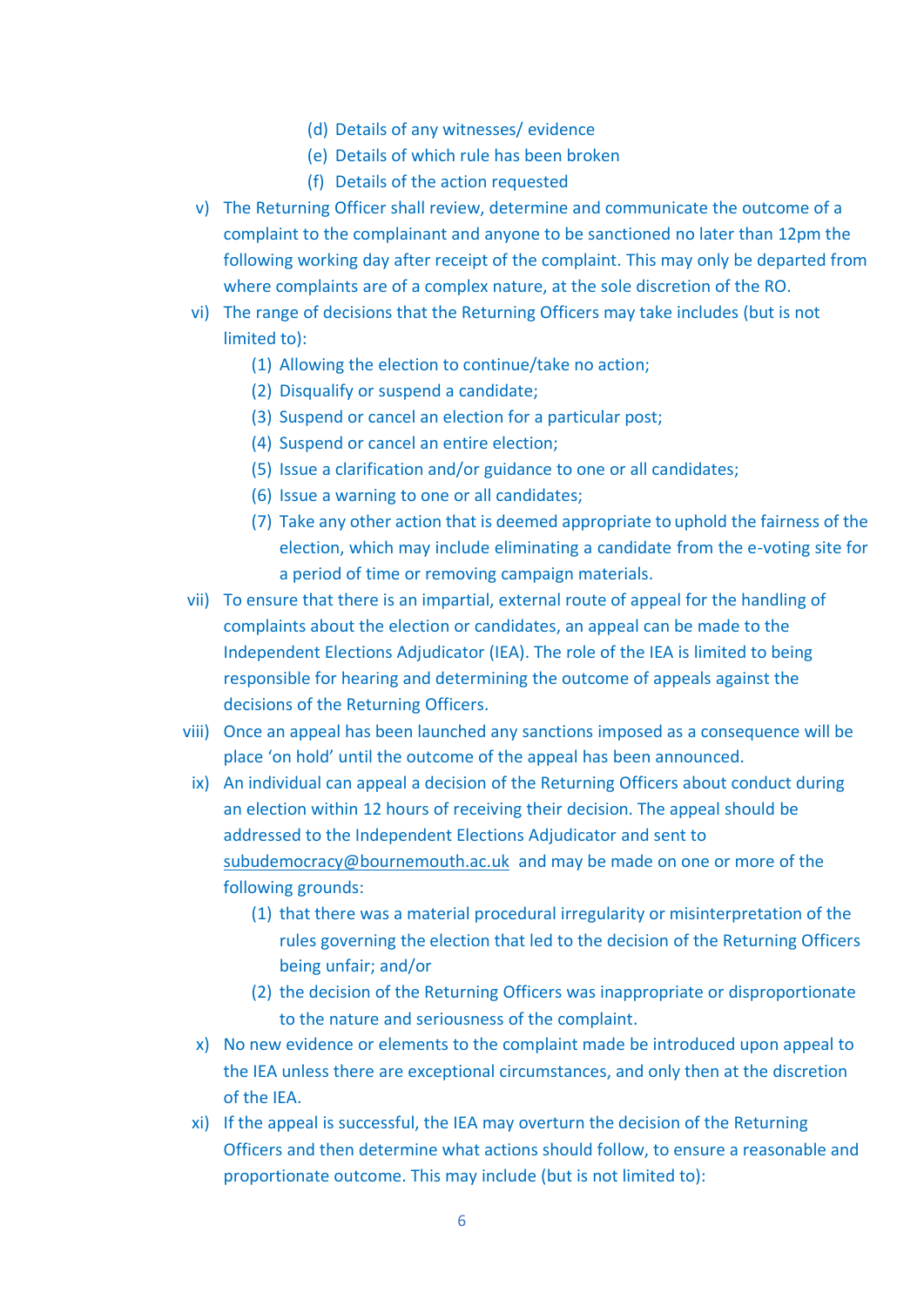- (d) Details of any witnesses/ evidence
- (e) Details of which rule has been broken
- (f) Details of the action requested
- v) The Returning Officer shall review, determine and communicate the outcome of a complaint to the complainant and anyone to be sanctioned no later than 12pm the following working day after receipt of the complaint. This may only be departed from where complaints are of a complex nature, at the sole discretion of the RO.
- vi) The range of decisions that the Returning Officers may take includes (but is not limited to):
	- (1) Allowing the election to continue/take no action;
	- (2) Disqualify or suspend a candidate;
	- (3) Suspend or cancel an election for a particular post;
	- (4) Suspend or cancel an entire election;
	- (5) Issue a clarification and/or guidance to one or all candidates;
	- (6) Issue a warning to one or all candidates;
	- (7) Take any other action that is deemed appropriate to uphold the fairness of the election, which may include eliminating a candidate from the e-voting site for a period of time or removing campaign materials.
- vii) To ensure that there is an impartial, external route of appeal for the handling of complaints about the election or candidates, an appeal can be made to the Independent Elections Adjudicator (IEA). The role of the IEA is limited to being responsible for hearing and determining the outcome of appeals against the decisions of the Returning Officers.
- viii) Once an appeal has been launched any sanctions imposed as a consequence will be place 'on hold' until the outcome of the appeal has been announced.
	- ix) An individual can appeal a decision of the Returning Officers about conduct during an election within 12 hours of receiving their decision. The appeal should be addressed to the Independent Elections Adjudicator and sent to [subudemocracy@bournemouth.ac.uk](mailto:subudemocracy@bournemouth.ac.uk) and may be made on one or more of the following grounds:
		- (1) that there was a material procedural irregularity or misinterpretation of the rules governing the election that led to the decision of the Returning Officers being unfair; and/or
		- (2) the decision of the Returning Officers was inappropriate or disproportionate to the nature and seriousness of the complaint.
	- x) No new evidence or elements to the complaint made be introduced upon appeal to the IEA unless there are exceptional circumstances, and only then at the discretion of the IEA.
	- xi) If the appeal is successful, the IEA may overturn the decision of the Returning Officers and then determine what actions should follow, to ensure a reasonable and proportionate outcome. This may include (but is not limited to):